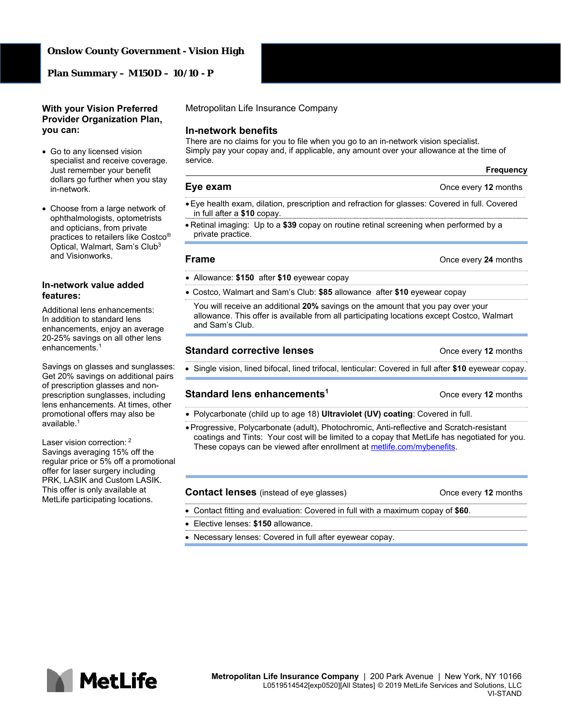#### **Onslow County Government - Vision High**

**Plan Summary – M150D – 10/10 - P** 

#### **With your Vision Preferred Provider Organization Plan, you can:**

- Go to any licensed vision specialist and receive coverage. Just remember your benefit dollars go further when you stay in-network.
- Choose from a large network of ophthalmologists, optometrists and opticians, from private practices to retailers like Costco® Optical, Walmart, Sam's Club3 and Visionworks.

#### **In-network value added features:**

Additional lens enhancements: In addition to standard lens enhancements, enjoy an average 20-25% savings on all other lens enhancements.<sup>1</sup>

Savings on glasses and sunglasses: Get 20% savings on additional pairs of prescription glasses and nonprescription sunglasses, including lens enhancements. At times, other promotional offers may also be available.1

Laser vision correction: <sup>2</sup> Savings averaging 15% off the regular price or 5% off a promotional offer for laser surgery including PRK, LASIK and Custom LASIK. This offer is only available at MetLife participating locations.

Metropolitan Life Insurance Company

#### **In-network benefits**

There are no claims for you to file when you go to an in-network vision specialist. Simply pay your copay and, if applicable, any amount over your allowance at the time of service.

# **Eye exam CONCERN EVERS CONCERN EVERS CONCERN EVERS CONCERN EVERS CONCERN EVERS CONCERN EVERS CONCERN EVERS**

- Eye health exam, dilation, prescription and refraction for glasses: Covered in full. Covered in full after a **\$10** copay.
- Retinal imaging: Up to a **\$39** copay on routine retinal screening when performed by a private practice.

#### **Frame Concernsive Example 24** months

- Allowance: **\$150** after **\$10** eyewear copay
- Costco, Walmart and Sam's Club: **\$85** allowance after **\$10** eyewear copay

You will receive an additional **20%** savings on the amount that you pay over your allowance. This offer is available from all participating locations except Costco, Walmart and Sam's Club.

#### **Standard corrective lenses Calculary 2** Once every 12 months

**Frequency**

Single vision, lined bifocal, lined trifocal, lenticular: Covered in full after **\$10** eyewear copay.

## **Standard lens enhancements1** Once every **12** months

Polycarbonate (child up to age 18) **Ultraviolet (UV) coating**: Covered in full.

 Progressive, Polycarbonate (adult), Photochromic, Anti-reflective and Scratch-resistant coatings and Tints: Your cost will be limited to a copay that MetLife has negotiated for you. These copays can be viewed after enrollment at metlife.com/mybenefits.

#### **Contact lenses** (instead of eye glasses) **Contact Inc.** Once every 12 months

- Contact fitting and evaluation: Covered in full with a maximum copay of **\$60**.
- Elective lenses: **\$150** allowance.
- Necessary lenses: Covered in full after eyewear copay.

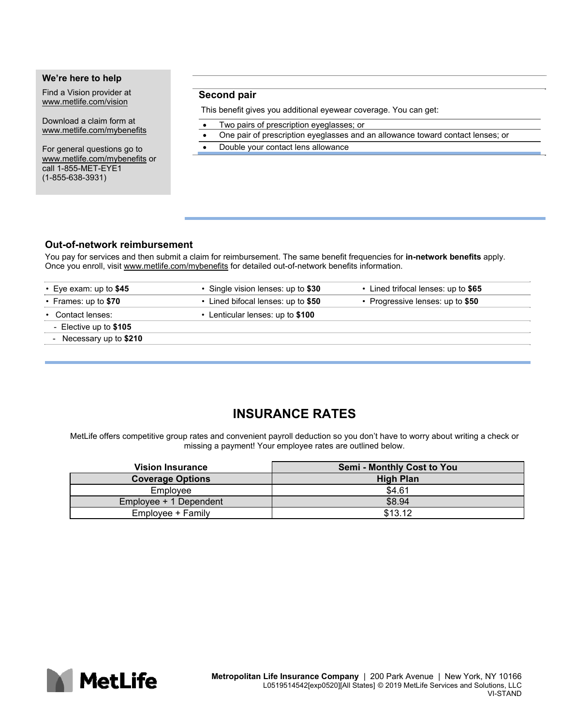## **We're here to help**

Find a Vision provider at www.metlife.com/vision

Download a claim form at www.metlife.com/mybenefits

For general questions go to www.metlife.com/mybenefits or call 1-855-MET-EYE1 (1-855-638-3931)

## **Second pair**

This benefit gives you additional eyewear coverage. You can get:

- Two pairs of prescription eyeglasses; or
- One pair of prescription eyeglasses and an allowance toward contact lenses; or
- Double your contact lens allowance

## **Out-of-network reimbursement**

You pay for services and then submit a claim for reimbursement. The same benefit frequencies for **in-network benefits** apply. Once you enroll, visit www.metlife.com/mybenefits for detailed out-of-network benefits information.

| $\cdot$ Eye exam: up to \$45 | • Single vision lenses: up to \$30 | • Lined trifocal lenses: up to \$65 |
|------------------------------|------------------------------------|-------------------------------------|
| • Frames: up to \$70         | • Lined bifocal lenses: up to \$50 | • Progressive lenses: up to \$50    |
| • Contact lenses:            | • Lenticular lenses: up to \$100   |                                     |
| - Elective up to \$105       |                                    |                                     |
| - Necessary up to \$210      |                                    |                                     |
|                              |                                    |                                     |

## **INSURANCE RATES**

MetLife offers competitive group rates and convenient payroll deduction so you don't have to worry about writing a check or missing a payment! Your employee rates are outlined below.

| <b>Vision Insurance</b> | <b>Semi - Monthly Cost to You</b> |
|-------------------------|-----------------------------------|
| <b>Coverage Options</b> | <b>High Plan</b>                  |
| Employee                | \$4.61                            |
| Employee + 1 Dependent  | \$8.94                            |
| Emplovee + Family       | \$13.12                           |